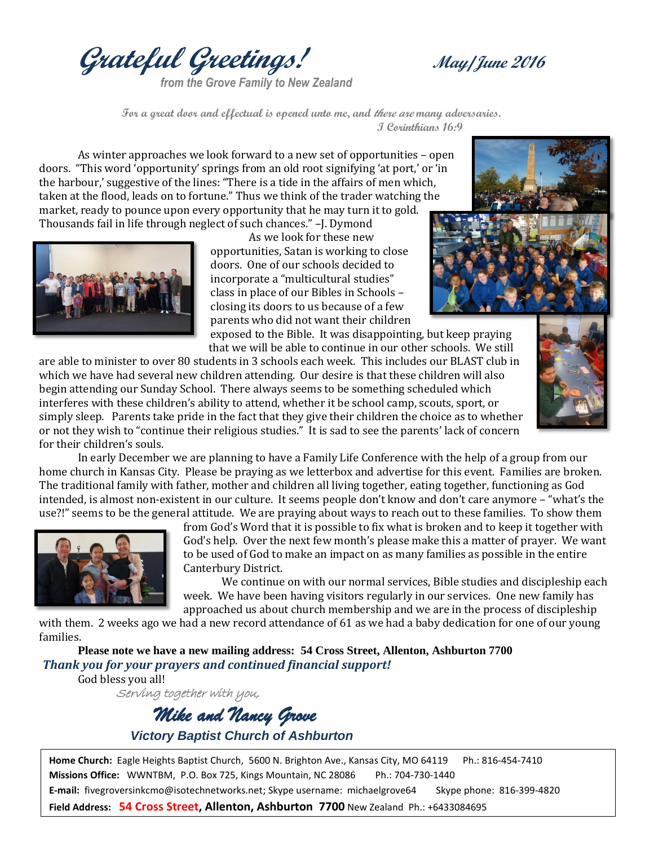**Grateful Greetings! May/June <sup>2016</sup>**

*from the Grove Family to New Zealand*

 **For a great door and effectual is opened unto me, and there are many adversaries. I Corinthians 16:9**

As winter approaches we look forward to a new set of opportunities – open doors. "This word 'opportunity' springs from an old root signifying 'at port,' or 'in the harbour,' suggestive of the lines: "There is a tide in the affairs of men which, taken at the flood, leads on to fortune." Thus we think of the trader watching the market, ready to pounce upon every opportunity that he may turn it to gold. Thousands fail in life through neglect of such chances." –J. Dymond



As we look for these new opportunities, Satan is working to close doors. One of our schools decided to incorporate a "multicultural studies" class in place of our Bibles in Schools – closing its doors to us because of a few parents who did not want their children

exposed to the Bible. It was disappointing, but keep praying that we will be able to continue in our other schools. We still

are able to minister to over 80 students in 3 schools each week. This includes our BLAST club in which we have had several new children attending. Our desire is that these children will also begin attending our Sunday School. There always seems to be something scheduled which interferes with these children's ability to attend, whether it be school camp, scouts, sport, or simply sleep. Parents take pride in the fact that they give their children the choice as to whether or not they wish to "continue their religious studies." It is sad to see the parents' lack of concern for their children's souls.



In early December we are planning to have a Family Life Conference with the help of a group from our home church in Kansas City. Please be praying as we letterbox and advertise for this event. Families are broken. The traditional family with father, mother and children all living together, eating together, functioning as God intended, is almost non-existent in our culture. It seems people don't know and don't care anymore – "what's the use?!" seems to be the general attitude. We are praying about ways to reach out to these families. To show them



from God's Word that it is possible to fix what is broken and to keep it together with God's help. Over the next few month's please make this a matter of prayer. We want to be used of God to make an impact on as many families as possible in the entire Canterbury District.

We continue on with our normal services, Bible studies and discipleship each week. We have been having visitors regularly in our services. One new family has approached us about church membership and we are in the process of discipleship

with them. 2 weeks ago we had a new record attendance of 61 as we had a baby dedication for one of our young families.

**Please note we have a new mailing address: 54 Cross Street, Allenton, Ashburton 7700**  *Thank you for your prayers and continued financial support!*  God bless you all!

Serving together with you,

 *Mike and Nancy Grove Victory Baptist Church of Ashburton*

**Home Church:** Eagle Heights Baptist Church, 5600 N. Brighton Ave., Kansas City, MO 64119 Ph.: 816-454-7410 **Missions Office:** WWNTBM, P.O. Box 725, Kings Mountain, NC 28086 Ph.: 704-730-1440 **E-mail:** fivegroversinkcmo@isotechnetworks.net; Skype username: michaelgrove64 Skype phone: 816-399-4820 **Field Address: 54 Cross Street, Allenton, Ashburton 7700** New Zealand Ph.: +6433084695